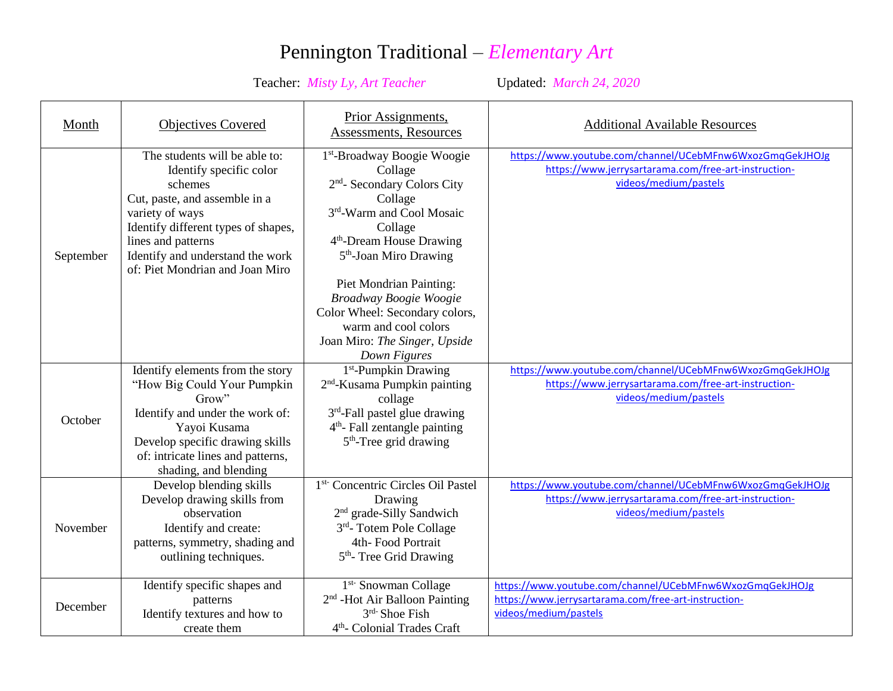## Pennington Traditional – *Elementary Art*

## Teacher: *Misty Ly, Art Teacher* Updated: *March 24, 2020*

| Month     | <b>Objectives Covered</b>                                                                                                                                                                                                                                   | Prior Assignments,<br>Assessments, Resources                                                                                                                                                                                                                                                                                                                                                                      | <b>Additional Available Resources</b>                                                                                                     |
|-----------|-------------------------------------------------------------------------------------------------------------------------------------------------------------------------------------------------------------------------------------------------------------|-------------------------------------------------------------------------------------------------------------------------------------------------------------------------------------------------------------------------------------------------------------------------------------------------------------------------------------------------------------------------------------------------------------------|-------------------------------------------------------------------------------------------------------------------------------------------|
| September | The students will be able to:<br>Identify specific color<br>schemes<br>Cut, paste, and assemble in a<br>variety of ways<br>Identify different types of shapes,<br>lines and patterns<br>Identify and understand the work<br>of: Piet Mondrian and Joan Miro | 1 <sup>st</sup> -Broadway Boogie Woogie<br>Collage<br>2 <sup>nd</sup> - Secondary Colors City<br>Collage<br>3 <sup>rd</sup> -Warm and Cool Mosaic<br>Collage<br>4 <sup>th</sup> -Dream House Drawing<br>5 <sup>th</sup> -Joan Miro Drawing<br><b>Piet Mondrian Painting:</b><br>Broadway Boogie Woogie<br>Color Wheel: Secondary colors,<br>warm and cool colors<br>Joan Miro: The Singer, Upside<br>Down Figures | https://www.youtube.com/channel/UCebMFnw6WxozGmqGekJHOJg<br>https://www.jerrysartarama.com/free-art-instruction-<br>videos/medium/pastels |
| October   | Identify elements from the story<br>"How Big Could Your Pumpkin<br>Grow<br>Identify and under the work of:<br>Yayoi Kusama<br>Develop specific drawing skills<br>of: intricate lines and patterns,<br>shading, and blending                                 | $1st$ -Pumpkin Drawing<br>2 <sup>nd</sup> -Kusama Pumpkin painting<br>collage<br>3 <sup>rd</sup> -Fall pastel glue drawing<br>$4th$ - Fall zentangle painting<br>$5th$ -Tree grid drawing                                                                                                                                                                                                                         | https://www.youtube.com/channel/UCebMFnw6WxozGmqGekJHOJg<br>https://www.jerrysartarama.com/free-art-instruction-<br>videos/medium/pastels |
| November  | Develop blending skills<br>Develop drawing skills from<br>observation<br>Identify and create:<br>patterns, symmetry, shading and<br>outlining techniques.                                                                                                   | 1 <sup>st-</sup> Concentric Circles Oil Pastel<br>Drawing<br>2 <sup>nd</sup> grade-Silly Sandwich<br>3rd-Totem Pole Collage<br>4th-Food Portrait<br>5 <sup>th</sup> -Tree Grid Drawing                                                                                                                                                                                                                            | https://www.youtube.com/channel/UCebMFnw6WxozGmqGekJHOJg<br>https://www.jerrysartarama.com/free-art-instruction-<br>videos/medium/pastels |
| December  | Identify specific shapes and<br>patterns<br>Identify textures and how to<br>create them                                                                                                                                                                     | 1 <sup>st-</sup> Snowman Collage<br>2 <sup>nd</sup> -Hot Air Balloon Painting<br>$3rd$ -Shoe Fish<br>4 <sup>th</sup> - Colonial Trades Craft                                                                                                                                                                                                                                                                      | https://www.youtube.com/channel/UCebMFnw6WxozGmqGekJHOJg<br>https://www.jerrysartarama.com/free-art-instruction-<br>videos/medium/pastels |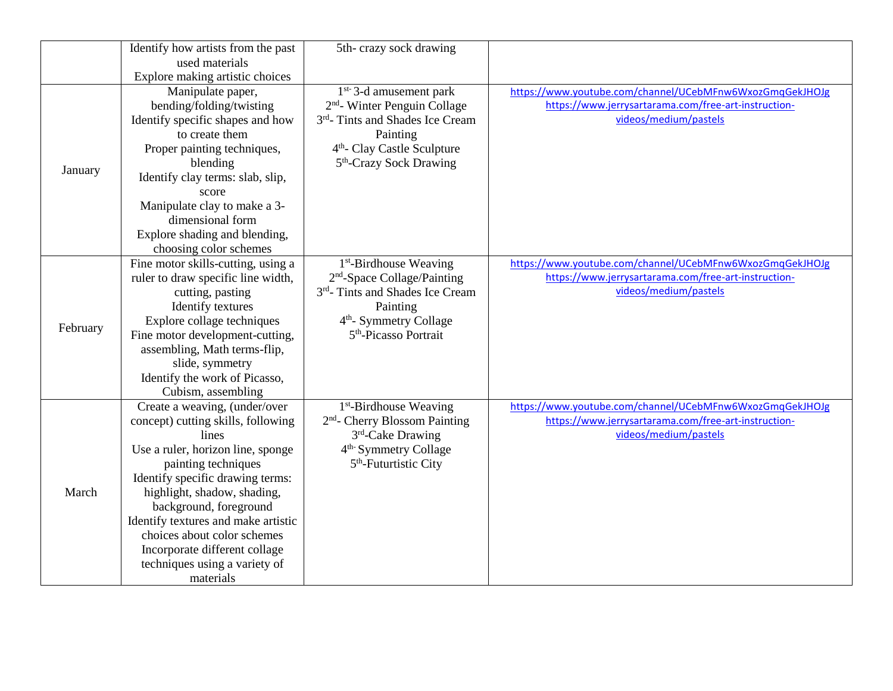|          | Identify how artists from the past            | 5th-crazy sock drawing                                                |                                                                                                                  |
|----------|-----------------------------------------------|-----------------------------------------------------------------------|------------------------------------------------------------------------------------------------------------------|
|          | used materials                                |                                                                       |                                                                                                                  |
|          | Explore making artistic choices               |                                                                       |                                                                                                                  |
| January  | Manipulate paper,<br>bending/folding/twisting | $1st-$ 3-d amusement park<br>2 <sup>nd</sup> - Winter Penguin Collage | https://www.youtube.com/channel/UCebMFnw6WxozGmqGekJHOJg<br>https://www.jerrysartarama.com/free-art-instruction- |
|          | Identify specific shapes and how              | 3 <sup>rd</sup> -Tints and Shades Ice Cream                           | videos/medium/pastels                                                                                            |
|          | to create them                                | Painting                                                              |                                                                                                                  |
|          | Proper painting techniques,                   | 4 <sup>th</sup> - Clay Castle Sculpture                               |                                                                                                                  |
|          | blending                                      | 5 <sup>th</sup> -Crazy Sock Drawing                                   |                                                                                                                  |
|          | Identify clay terms: slab, slip,              |                                                                       |                                                                                                                  |
|          | score                                         |                                                                       |                                                                                                                  |
|          | Manipulate clay to make a 3-                  |                                                                       |                                                                                                                  |
|          | dimensional form                              |                                                                       |                                                                                                                  |
|          | Explore shading and blending,                 |                                                                       |                                                                                                                  |
|          | choosing color schemes                        |                                                                       |                                                                                                                  |
|          | Fine motor skills-cutting, using a            | 1 <sup>st</sup> -Birdhouse Weaving                                    | https://www.youtube.com/channel/UCebMFnw6WxozGmqGekJHOJg                                                         |
|          | ruler to draw specific line width,            | 2 <sup>nd</sup> -Space Collage/Painting                               | https://www.jerrysartarama.com/free-art-instruction-                                                             |
| February | cutting, pasting                              | 3rd- Tints and Shades Ice Cream                                       | videos/medium/pastels                                                                                            |
|          | Identify textures                             | Painting                                                              |                                                                                                                  |
|          | Explore collage techniques                    | 4 <sup>th</sup> - Symmetry Collage                                    |                                                                                                                  |
|          | Fine motor development-cutting,               | 5 <sup>th</sup> -Picasso Portrait                                     |                                                                                                                  |
|          | assembling, Math terms-flip,                  |                                                                       |                                                                                                                  |
|          | slide, symmetry                               |                                                                       |                                                                                                                  |
|          | Identify the work of Picasso,                 |                                                                       |                                                                                                                  |
|          | Cubism, assembling                            |                                                                       |                                                                                                                  |
|          | Create a weaving, (under/over                 | 1 <sup>st</sup> -Birdhouse Weaving                                    | https://www.youtube.com/channel/UCebMFnw6WxozGmqGekJHOJg                                                         |
|          | concept) cutting skills, following            | 2 <sup>nd</sup> - Cherry Blossom Painting                             | https://www.jerrysartarama.com/free-art-instruction-                                                             |
|          | lines                                         | 3rd-Cake Drawing                                                      | videos/medium/pastels                                                                                            |
|          | Use a ruler, horizon line, sponge             | 4 <sup>th</sup> Symmetry Collage                                      |                                                                                                                  |
| March    | painting techniques                           | 5 <sup>th</sup> -Futurtistic City                                     |                                                                                                                  |
|          | Identify specific drawing terms:              |                                                                       |                                                                                                                  |
|          | highlight, shadow, shading,                   |                                                                       |                                                                                                                  |
|          | background, foreground                        |                                                                       |                                                                                                                  |
|          | Identify textures and make artistic           |                                                                       |                                                                                                                  |
|          | choices about color schemes                   |                                                                       |                                                                                                                  |
|          | Incorporate different collage                 |                                                                       |                                                                                                                  |
|          | techniques using a variety of                 |                                                                       |                                                                                                                  |
|          | materials                                     |                                                                       |                                                                                                                  |